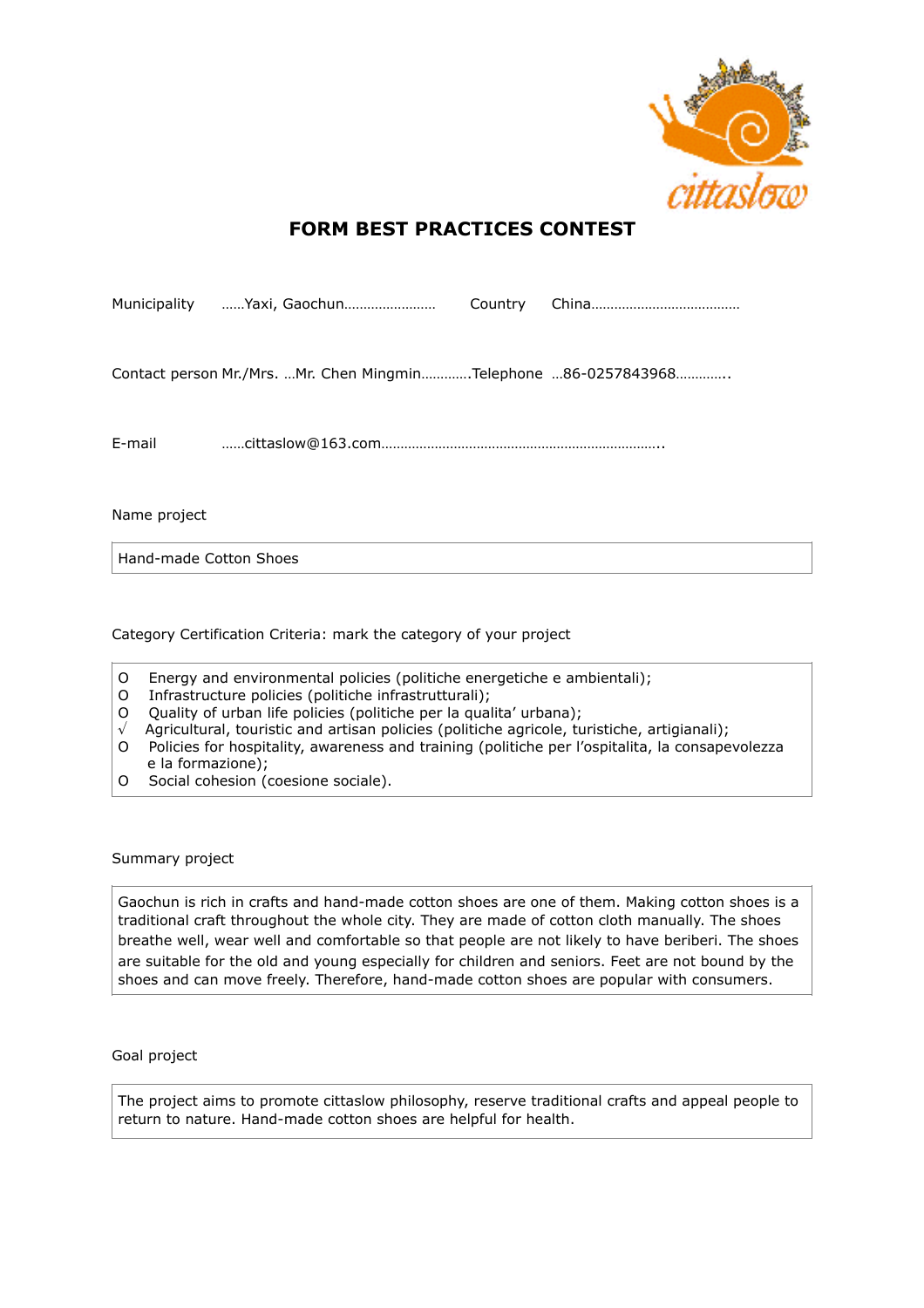

## **FORM BEST PRACTICES CONTEST**

|        |  | Contact person Mr./Mrs. Mr. Chen MingminTelephone 86-0257843968 |
|--------|--|-----------------------------------------------------------------|
|        |  |                                                                 |
| E-mail |  |                                                                 |

Name project

Hand-made Cotton Shoes

Category Certification Criteria: mark the category of your project

- O Energy and environmental policies (politiche energetiche e ambientali);
- O Infrastructure policies (politiche infrastrutturali);
- O Quality of urban life policies (politiche per la qualita' urbana);
- $\sqrt{ }$  Agricultural, touristic and artisan policies (politiche agricole, turistiche, artigianali);
- O Policies for hospitality, awareness and training (politiche per l'ospitalita, la consapevolezza e la formazione);
- O Social cohesion (coesione sociale).

Summary project

Gaochun is rich in crafts and hand-made cotton shoes are one of them. Making cotton shoes is a traditional craft throughout the whole city. They are made of cotton cloth manually. The shoes breathe well, wear well and comfortable so that people are not likely to have beriberi. The shoes are suitable for the old and young especially for children and seniors. Feet are not bound by the shoes and can move freely. Therefore, hand-made cotton shoes are popular with consumers.

Goal project

The project aims to promote cittaslow philosophy, reserve traditional crafts and appeal people to return to nature. Hand-made cotton shoes are helpful for health.